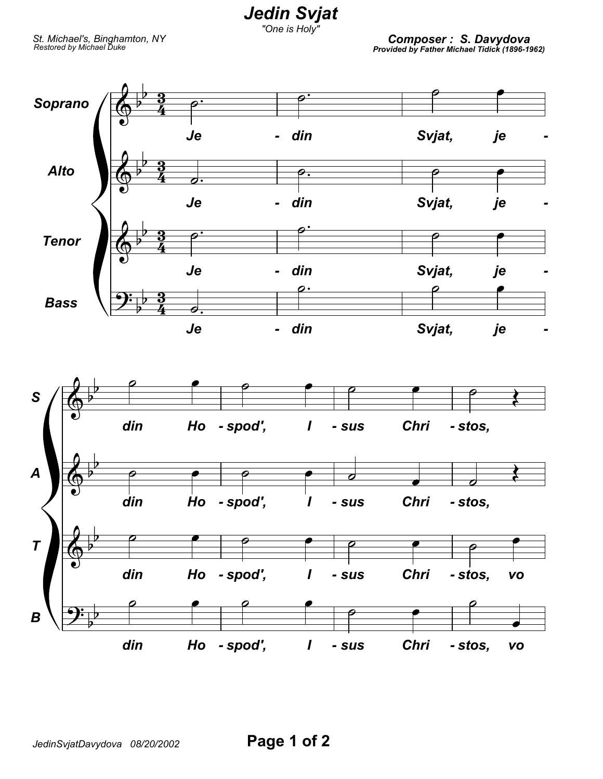*Jedin Svjat*

*"One is Holy"*

*St. Michael's, Binghamton, NY*

*Restored by Michael Duke Composer : S. Davydova Provided by Father Michael Tidick (1896-1962)*